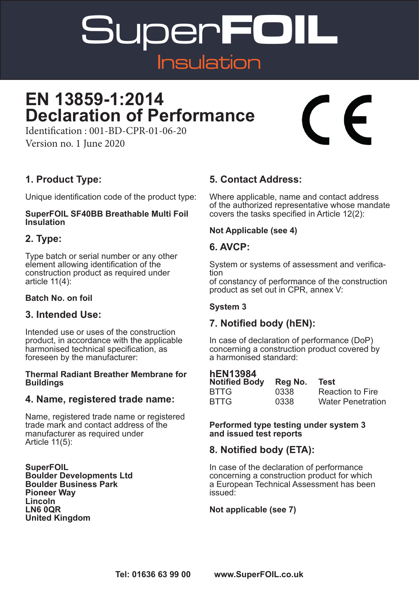Super**FOIL** Insulation

### **EN 13859-1:2014 Declaration of Performance**

Identification : 001-BD-CPR-01-06-20 Version no. 1 June 2020

#### **1. Product Type:**

Unique identification code of the product type:

#### **SuperFOIL SF40BB Breathable Multi Foil Insulation**

#### **2. Type:**

Type batch or serial number or any other element allowing identification of the construction product as required under article 11(4):

#### **Batch No. on foil**

#### **3. Intended Use:**

Intended use or uses of the construction product, in accordance with the applicable harmonised technical specification, as foreseen by the manufacturer:

#### **Thermal Radiant Breather Membrane for Buildings**

#### **4. Name, registered trade name:**

Name, registered trade name or registered trade mark and contact address of the manufacturer as required under Article 11(5):

**SuperFOIL Boulder Developments Ltd Boulder Business Park Pioneer Way Lincoln LN6 0QR United Kingdom**

#### **5. Contact Address:**

Where applicable, name and contact address of the authorized representative whose mandate covers the tasks specified in Article 12(2):

#### **Not Applicable (see 4)**

#### **6. AVCP:**

System or systems of assessment and verifica- tion of constancy of performance of the construction product as set out in CPR, annex V:

#### **System 3**

#### **7. Notified body (hEN):**

In case of declaration of performance (DoP) concerning a construction product covered by a harmonised standard:

#### **hEN13984**

| <b>Notified Body</b> | Reg No. | Test                     |
|----------------------|---------|--------------------------|
| <b>BTTG</b>          | 0338    | <b>Reaction to Fire</b>  |
| <b>BTTG</b>          | 0338    | <b>Water Penetration</b> |

**Performed type testing under system 3 and issued test reports**

#### **8. Notified body (ETA):**

In case of the declaration of performance concerning a construction product for which a European Technical Assessment has been issued:

#### **Not applicable (see 7)**